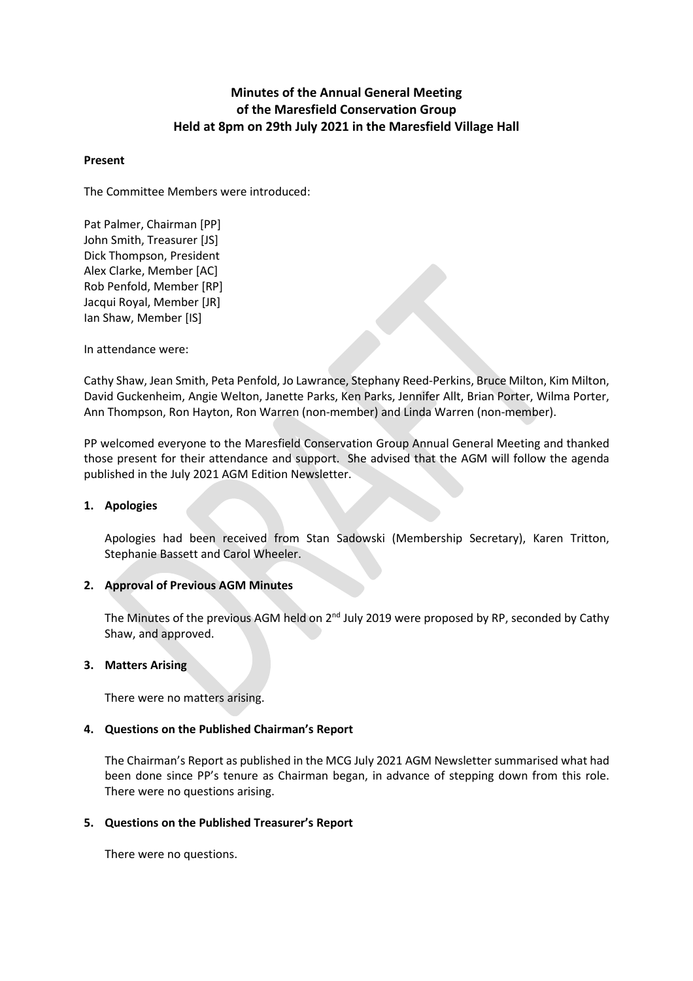# **Minutes of the Annual General Meeting of the Maresfield Conservation Group Held at 8pm on 29th July 2021 in the Maresfield Village Hall**

## **Present**

The Committee Members were introduced:

Pat Palmer, Chairman [PP] John Smith, Treasurer [JS] Dick Thompson, President Alex Clarke, Member [AC] Rob Penfold, Member [RP] Jacqui Royal, Member [JR] Ian Shaw, Member [IS]

In attendance were:

Cathy Shaw, Jean Smith, Peta Penfold, Jo Lawrance, Stephany Reed-Perkins, Bruce Milton, Kim Milton, David Guckenheim, Angie Welton, Janette Parks, Ken Parks, Jennifer Allt, Brian Porter, Wilma Porter, Ann Thompson, Ron Hayton, Ron Warren (non-member) and Linda Warren (non-member).

PP welcomed everyone to the Maresfield Conservation Group Annual General Meeting and thanked those present for their attendance and support. She advised that the AGM will follow the agenda published in the July 2021 AGM Edition Newsletter.

# **1. Apologies**

Apologies had been received from Stan Sadowski (Membership Secretary), Karen Tritton, Stephanie Bassett and Carol Wheeler.

# **2. Approval of Previous AGM Minutes**

The Minutes of the previous AGM held on 2<sup>nd</sup> July 2019 were proposed by RP, seconded by Cathy Shaw, and approved.

# **3. Matters Arising**

There were no matters arising.

# **4. Questions on the Published Chairman's Report**

The Chairman's Report as published in the MCG July 2021 AGM Newsletter summarised what had been done since PP's tenure as Chairman began, in advance of stepping down from this role. There were no questions arising.

# **5. Questions on the Published Treasurer's Report**

There were no questions.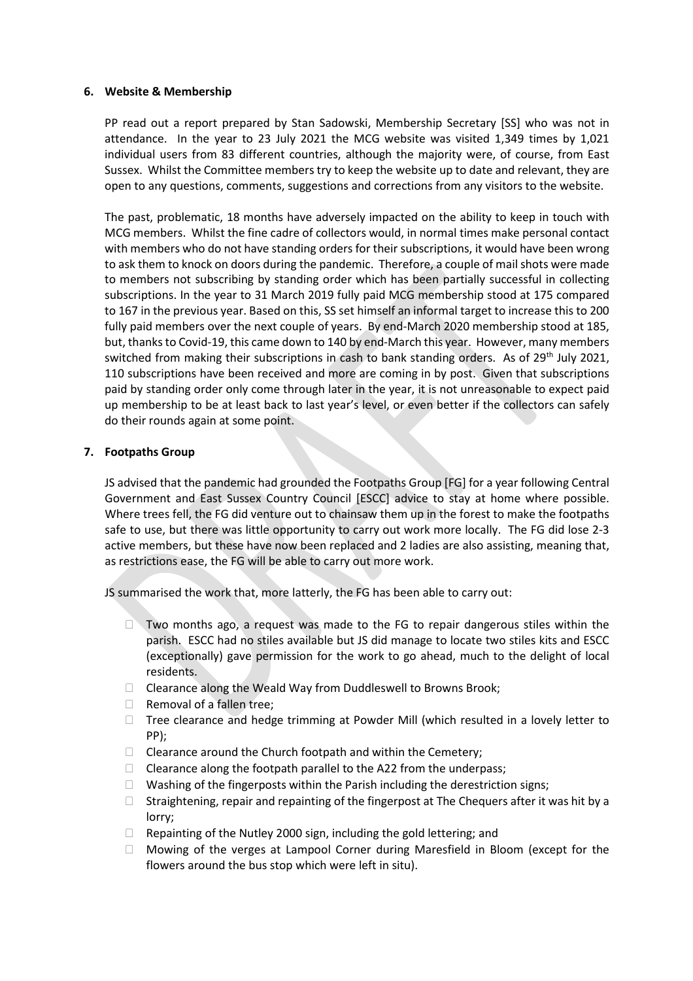## **6. Website & Membership**

PP read out a report prepared by Stan Sadowski, Membership Secretary [SS] who was not in attendance. In the year to 23 July 2021 the MCG website was visited 1,349 times by 1,021 individual users from 83 different countries, although the majority were, of course, from East Sussex. Whilst the Committee members try to keep the website up to date and relevant, they are open to any questions, comments, suggestions and corrections from any visitors to the website.

The past, problematic, 18 months have adversely impacted on the ability to keep in touch with MCG members. Whilst the fine cadre of collectors would, in normal times make personal contact with members who do not have standing orders for their subscriptions, it would have been wrong to ask them to knock on doors during the pandemic. Therefore, a couple of mail shots were made to members not subscribing by standing order which has been partially successful in collecting subscriptions. In the year to 31 March 2019 fully paid MCG membership stood at 175 compared to 167 in the previous year. Based on this, SS set himself an informal target to increase this to 200 fully paid members over the next couple of years. By end-March 2020 membership stood at 185, but, thanks to Covid-19, this came down to 140 by end-March this year. However, many members switched from making their subscriptions in cash to bank standing orders. As of 29<sup>th</sup> July 2021, 110 subscriptions have been received and more are coming in by post. Given that subscriptions paid by standing order only come through later in the year, it is not unreasonable to expect paid up membership to be at least back to last year's level, or even better if the collectors can safely do their rounds again at some point.

# **7. Footpaths Group**

JS advised that the pandemic had grounded the Footpaths Group [FG] for a year following Central Government and East Sussex Country Council [ESCC] advice to stay at home where possible. Where trees fell, the FG did venture out to chainsaw them up in the forest to make the footpaths safe to use, but there was little opportunity to carry out work more locally. The FG did lose 2-3 active members, but these have now been replaced and 2 ladies are also assisting, meaning that, as restrictions ease, the FG will be able to carry out more work.

JS summarised the work that, more latterly, the FG has been able to carry out:

- $\square$  Two months ago, a request was made to the FG to repair dangerous stiles within the parish. ESCC had no stiles available but JS did manage to locate two stiles kits and ESCC (exceptionally) gave permission for the work to go ahead, much to the delight of local residents.
- □ Clearance along the Weald Way from Duddleswell to Browns Brook;
- $\Box$  Removal of a fallen tree;
- $\Box$  Tree clearance and hedge trimming at Powder Mill (which resulted in a lovely letter to PP);
- $\Box$  Clearance around the Church footpath and within the Cemetery;
- $\Box$  Clearance along the footpath parallel to the A22 from the underpass;
- $\Box$  Washing of the fingerposts within the Parish including the derestriction signs;
- $\Box$  Straightening, repair and repainting of the fingerpost at The Chequers after it was hit by a lorry;
- $\Box$  Repainting of the Nutley 2000 sign, including the gold lettering; and
- Mowing of the verges at Lampool Corner during Maresfield in Bloom (except for the flowers around the bus stop which were left in situ).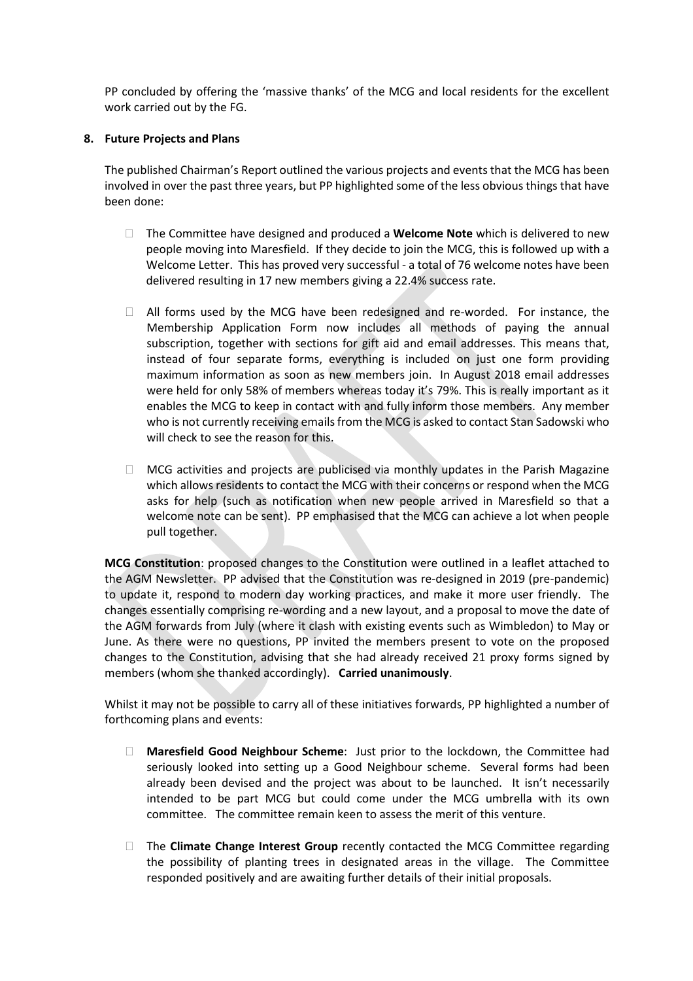PP concluded by offering the 'massive thanks' of the MCG and local residents for the excellent work carried out by the FG.

# **8. Future Projects and Plans**

The published Chairman's Report outlined the various projects and events that the MCG has been involved in over the past three years, but PP highlighted some of the less obvious things that have been done:

- The Committee have designed and produced a **Welcome Note** which is delivered to new people moving into Maresfield. If they decide to join the MCG, this is followed up with a Welcome Letter. This has proved very successful - a total of 76 welcome notes have been delivered resulting in 17 new members giving a 22.4% success rate.
- $\Box$  All forms used by the MCG have been redesigned and re-worded. For instance, the Membership Application Form now includes all methods of paying the annual subscription, together with sections for gift aid and email addresses. This means that, instead of four separate forms, everything is included on just one form providing maximum information as soon as new members join. In August 2018 email addresses were held for only 58% of members whereas today it's 79%. This is really important as it enables the MCG to keep in contact with and fully inform those members. Any member who is not currently receiving emails from the MCG is asked to contact Stan Sadowski who will check to see the reason for this.
- $\Box$  MCG activities and projects are publicised via monthly updates in the Parish Magazine which allows residents to contact the MCG with their concerns or respond when the MCG asks for help (such as notification when new people arrived in Maresfield so that a welcome note can be sent). PP emphasised that the MCG can achieve a lot when people pull together.

**MCG Constitution**: proposed changes to the Constitution were outlined in a leaflet attached to the AGM Newsletter. PP advised that the Constitution was re-designed in 2019 (pre-pandemic) to update it, respond to modern day working practices, and make it more user friendly. The changes essentially comprising re-wording and a new layout, and a proposal to move the date of the AGM forwards from July (where it clash with existing events such as Wimbledon) to May or June. As there were no questions, PP invited the members present to vote on the proposed changes to the Constitution, advising that she had already received 21 proxy forms signed by members (whom she thanked accordingly). **Carried unanimously**.

Whilst it may not be possible to carry all of these initiatives forwards, PP highlighted a number of forthcoming plans and events:

- **Maresfield Good Neighbour Scheme**: Just prior to the lockdown, the Committee had seriously looked into setting up a Good Neighbour scheme. Several forms had been already been devised and the project was about to be launched. It isn't necessarily intended to be part MCG but could come under the MCG umbrella with its own committee. The committee remain keen to assess the merit of this venture.
- The **Climate Change Interest Group** recently contacted the MCG Committee regarding the possibility of planting trees in designated areas in the village. The Committee responded positively and are awaiting further details of their initial proposals.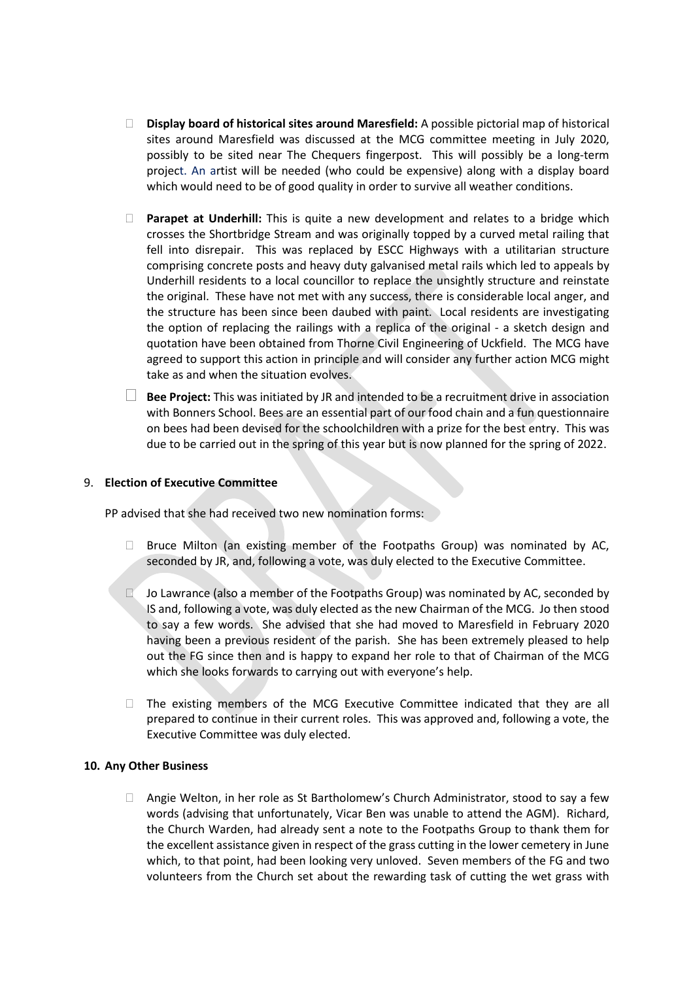- **Display board of historical sites around Maresfield:** A possible pictorial map of historical sites around Maresfield was discussed at the MCG committee meeting in July 2020, possibly to be sited near The Chequers fingerpost. This will possibly be a long-term project. An artist will be needed (who could be expensive) along with a display board which would need to be of good quality in order to survive all weather conditions.
- **Parapet at Underhill:** This is quite a new development and relates to a bridge which crosses the Shortbridge Stream and was originally topped by a curved metal railing that fell into disrepair. This was replaced by ESCC Highways with a utilitarian structure comprising concrete posts and heavy duty galvanised metal rails which led to appeals by Underhill residents to a local councillor to replace the unsightly structure and reinstate the original. These have not met with any success, there is considerable local anger, and the structure has been since been daubed with paint. Local residents are investigating the option of replacing the railings with a replica of the original - a sketch design and quotation have been obtained from Thorne Civil Engineering of Uckfield. The MCG have agreed to support this action in principle and will consider any further action MCG might take as and when the situation evolves.
- **Bee Project:** This was initiated by JR and intended to be <sup>a</sup> recruitment drive in association with Bonners School. Bees are an essential part of our food chain and a fun questionnaire on bees had been devised for the schoolchildren with a prize for the best entry. This was due to be carried out in the spring of this year but is now planned for the spring of 2022.

#### 9. **Election of Executive Committee**

PP advised that she had received two new nomination forms:

- $\Box$  Bruce Milton (an existing member of the Footpaths Group) was nominated by AC, seconded by JR, and, following a vote, was duly elected to the Executive Committee.
- $\Box$  Jo Lawrance (also a member of the Footpaths Group) was nominated by AC, seconded by IS and, following a vote, was duly elected as the new Chairman of the MCG. Jo then stood to say a few words. She advised that she had moved to Maresfield in February 2020 having been a previous resident of the parish. She has been extremely pleased to help out the FG since then and is happy to expand her role to that of Chairman of the MCG which she looks forwards to carrying out with everyone's help.
- $\Box$  The existing members of the MCG Executive Committee indicated that they are all prepared to continue in their current roles. This was approved and, following a vote, the Executive Committee was duly elected.

#### **10. Any Other Business**

 Angie Welton, in her role as St Bartholomew's Church Administrator, stood to say a few words (advising that unfortunately, Vicar Ben was unable to attend the AGM). Richard, the Church Warden, had already sent a note to the Footpaths Group to thank them for the excellent assistance given in respect of the grass cutting in the lower cemetery in June which, to that point, had been looking very unloved. Seven members of the FG and two volunteers from the Church set about the rewarding task of cutting the wet grass with